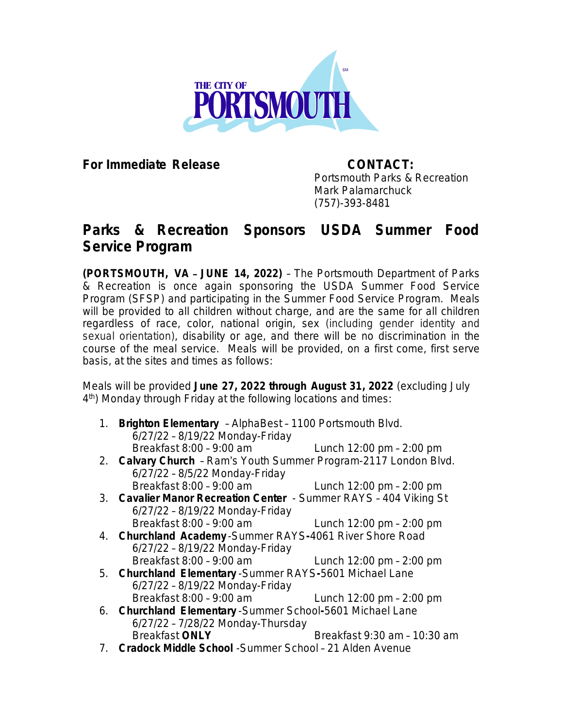

**For Immediate Release CONTACT:**

Portsmouth Parks & Recreation Mark Palamarchuck (757)-393-8481

## **Parks & Recreation Sponsors USDA Summer Food Service Program**

**(PORTSMOUTH, VA** – **JUNE 14, 2022)** – The Portsmouth Department of Parks & Recreation is once again sponsoring the USDA Summer Food Service Program (SFSP) and participating in the Summer Food Service Program. Meals will be provided to all children without charge, and are the same for all children regardless of race, color, national origin, sex (including gender identity and sexual orientation), disability or age, and there will be no discrimination in the course of the meal service. Meals will be provided, on a first come, first serve basis, at the sites and times as follows:

Meals will be provided **June 27, 2022 through August 31, 2022** (excluding July 4 th) Monday through Friday at the following locations and times:

- 1. **Brighton Elementary** AlphaBest 1100 Portsmouth Blvd. 6/27/22 – 8/19/22 Monday-Friday Breakfast 8:00 – 9:00 am Lunch 12:00 pm – 2:00 pm
- 2. **Calvary Church** Ram's Youth Summer Program-2117 London Blvd. 6/27/22 – 8/5/22 Monday-Friday Breakfast 8:00 – 9:00 am Lunch 12:00 pm – 2:00 pm
- 3. **Cavalier Manor Recreation Center** Summer RAYS 404 Viking St 6/27/22 – 8/19/22 Monday-Friday
- Breakfast 8:00 9:00 am Lunch 12:00 pm 2:00 pm 4. **Churchland Academy** -Summer RAYS**-**4061 River Shore Road 6/27/22 – 8/19/22 Monday-Friday Breakfast 8:00 – 9:00 am Lunch 12:00 pm – 2:00 pm
- 5. **Churchland Elementary** -Summer RAYS**-**5601 Michael Lane 6/27/22 – 8/19/22 Monday-Friday Breakfast 8:00 – 9:00 am Lunch 12:00 pm – 2:00 pm
- 6. **Churchland Elementary** -Summer School**-**5601 Michael Lane 6/27/22 – 7/28/22 Monday-Thursday Breakfast **ONLY** Breakfast 9:30 am – 10:30 am
- 7. **Cradock Middle School** -Summer School 21 Alden Avenue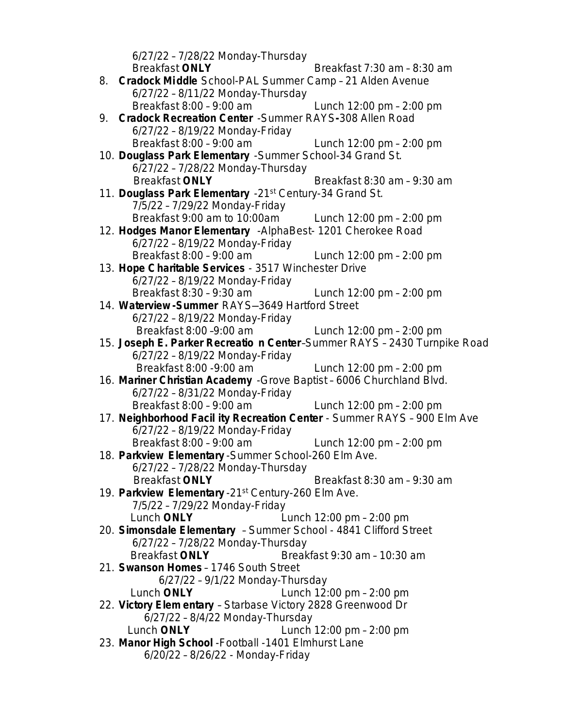6/27/22 – 7/28/22 Monday-Thursday Breakfast **ONLY** Breakfast 7:30 am – 8:30 am 8. **Cradock Middle** School-PAL Summer Camp – 21 Alden Avenue 6/27/22 – 8/11/22 Monday-Thursday Breakfast 8:00 – 9:00 am Lunch 12:00 pm – 2:00 pm 9. **Cradock Recreation Center** -Summer RAYS**-**308 Allen Road 6/27/22 – 8/19/22 Monday-Friday Breakfast 8:00 – 9:00 am Lunch 12:00 pm – 2:00 pm 10. **Douglass Park Elementary** -Summer School-34 Grand St. 6/27/22 – 7/28/22 Monday-Thursday Breakfast **ONLY** Breakfast 8:30 am – 9:30 am 11. **Douglass Park Elementary** -21st Century-34 Grand St. 7/5/22 – 7/29/22 Monday-Friday Breakfast 9:00 am to 10:00am Lunch 12:00 pm – 2:00 pm 12. **Hodges Manor Elementary** -AlphaBest- 1201 Cherokee Road 6/27/22 – 8/19/22 Monday-Friday Breakfast 8:00 – 9:00 am Lunch 12:00 pm – 2:00 pm 13. **Hope Charitable Services** - 3517 Winchester Drive 6/27/22 – 8/19/22 Monday-Friday Breakfast 8:30 – 9:30 am Lunch 12:00 pm – 2:00 pm 14. **Waterview -Summer** RAYS—3649 Hartford Street 6/27/22 – 8/19/22 Monday-Friday Breakfast 8:00 –9:00 am Lunch 12:00 pm – 2:00 pm 15. **Joseph E. Parker Recreatio n Center**–Summer RAYS – 2430 Turnpike Road 6/27/22 – 8/19/22 Monday-Friday Breakfast 8:00 -9:00 am Lunch 12:00 pm – 2:00 pm 16. **Mariner Christian Academy** -Grove Baptist – 6006 Churchland Blvd. 6/27/22 – 8/31/22 Monday-Friday Breakfast 8:00 – 9:00 am Lunch 12:00 pm – 2:00 pm 17. **Neighborhood Facil ity Recreation Center** - Summer RAYS – 900 Elm Ave 6/27/22 – 8/19/22 Monday-Friday Breakfast 8:00 – 9:00 am Lunch 12:00 pm – 2:00 pm 18. **Parkview Elementary** -Summer School-260 Elm Ave. 6/27/22 – 7/28/22 Monday-Thursday Breakfast **ONLY** Breakfast 8:30 am – 9:30 am 19. **Parkview Elementary** -21st Century-260 Elm Ave. 7/5/22 – 7/29/22 Monday-Friday Lunch **ONLY** Lunch 12:00 pm – 2:00 pm 20. **Simonsdale Elementary** – Summer School - 4841 Clifford Street 6/27/22 – 7/28/22 Monday-Thursday Breakfast **ONLY** Breakfast 9:30 am – 10:30 am 21. **Swanson Homes** – 1746 South Street 6/27/22 – 9/1/22 Monday-Thursday Lunch **ONLY** Lunch 12:00 pm – 2:00 pm 22. **Victory Elem entary** – Starbase Victory 2828 Greenwood Dr 6/27/22 – 8/4/22 Monday-Thursday Lunch **ONLY** Lunch 12:00 pm – 2:00 pm 23. **Manor High School** -Football -1401 Elmhurst Lane 6/20/22 – 8/26/22 - Monday-Friday